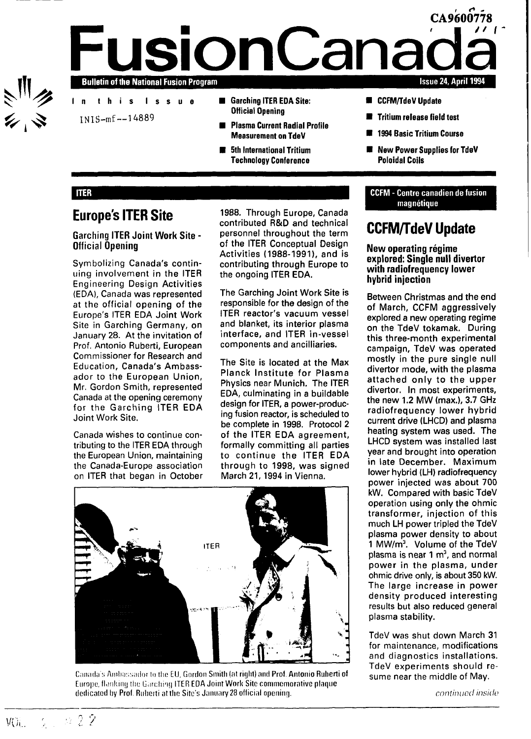

### **CA9600778 IsionCana** Bulletin of the National Fusion Program **a**<br>**a**<br>**d**<br>**d**<br>**d** Issue 24, April 1994

- In this Issue
- INIS-mf —14889
- Garching ITER EDA Site: Official Opening
- Plasma Current Radial Profile Measurement on TdeV
- **5th International Tritium** Technology Conference
- **CCFM/TdeV Update**
- **■** Tritium release field test
- 1994 Basic Tritium Course
- **New Power Supplies for TdeV** Poloidal Coils

### **ITER**

### **Europe's ITER Site**

### **Garching ITER Joint Work Site - Official Opening**

Symbolizing Canada's continuing involvement in the ITER Engineering Design Activities (EDA), Canada was represented at the official opening of the Europe's ITER EDA Joint Work Site in Garching Germany, on January 28. At the invitation of Prof. Antonio Ruberti, European Commissioner for Research and Education, Canada's Ambassador to the European Union, Mr. Gordon Smith, represented Canada at the opening ceremony for the Garching ITER EDA Joint Work Site.

Canada wishes to continue contributing to the ITER EDA through the European Union, maintaining the Canada-Europe association on ITER that began in October

1988. Through Europe, Canada contributed R&D and technical personnel throughout the term of the ITER Conceptual Design Activities (1988-1991), and is contributing through Europe to the ongoing ITER EDA.

The Garching Joint Work Site is responsible for the design of the ITER reactor's vacuum vessel and blanket, its interior plasma interface, and ITER in-vessel components and ancilliaries.

The Site is located at the Max Planck Institute for Plasma Physics near Munich. The ITER EDA, culminating in a buildable design for ITER, a power-producing fusion reactor, is scheduled to be complete in 1998. Protocol 2 of the ITER EDA agreement, formally committing all parties to continue the ITER EDA through to 1998, was signed March 21, 1994 in Vienna.



Canada's Ambassador **to** the **EU, Gordon Smith (at right) and Prof. Antonio Ruherti of** Europe, flanking the Garching ITER EDA Joint Work Site commemorative plaque **dedicated hy Prof. Riiherti nt the Site's January 28 official opening.**

### CCFM - Centre canadien de fusion magnétique

### **CCFM/TdeV Update**

### New operating régime explored: Single null divertor with radiofrequency lower hybrid injection

Between Christmas and the end of March, CCFM aggressively explored a new operating regime on the TdeV tokamak. During this three-month experimental campaign, TdeV was operated mostly in the pure single null divertor mode, with the plasma attached only to the upper divertor. In most experiments, the new 1.2 MW (max.), 3.7 GHz radiofrequency lower hybrid current drive (LHCD) and plasma heating system was used. The LHCD system was installed last year and brought into operation in late December. Maximum lower hybrid (LH) radiofrequency power injected was about 700 kW. Compared with basic TdeV operation using only the ohmic transformer, injection of this much LH power tripled the TdeV plasma power density to about plasma power density to about<br>1 MW/m<sup>3</sup> - Volume of the TdeV  $p \cdot \text{mv}$  is near 1 m<sup>3</sup> plasma is near  $1 \text{ m}^3$ , and normal power in the plasma, under power in the plasma, under<br>shore drive calvie about 350 kW. The large increase in power The large increase in power density produced interesting results but also reduced general<br>plasma stability.

TdeV was shut down March 31 for maintenance, modifications and diagnostics installations. TdeV experiments should resume near the middle of May.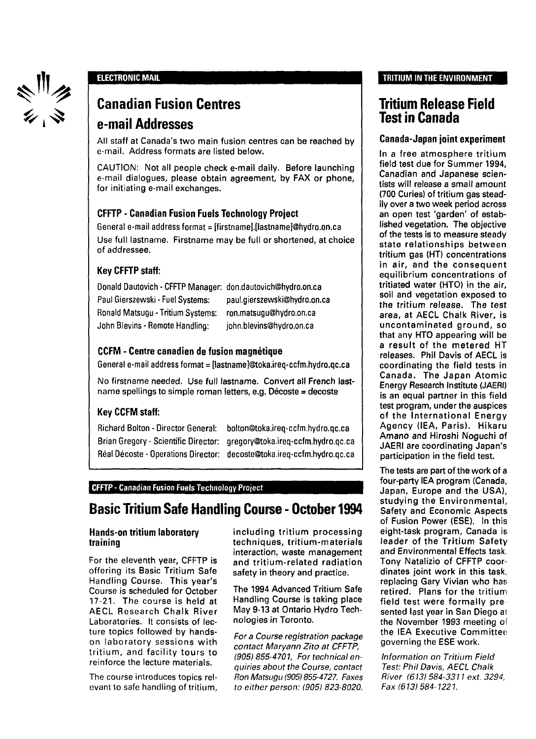

### ELECTRONIC **MAIL**

## **Canadian Fusion Centres**

### **e-mail Addresses**

All staff at Canada's two main fusion centres can be reached by e-mail. Address formats are listed below.

CAUTION: Not all people check e-mail daily. Before launching e-mail dialogues, please obtain agreement, by FAX or phone, for initiating e-mail exchanges.

### **CFFTP** - **Canadian Fusion Fuels Technology Project**

General e-mail address format = [firstname].[lastname]@hydro.on.ca Use full lastname. Firstname may be full or shortened, at choice of addressee.

### Key **CFFTP staff:**

| Donald Dautovich - CFFTP Manager: don.dautovich@hydro.on.ca |                              |
|-------------------------------------------------------------|------------------------------|
| Paul Gierszewski - Fuel Systems:                            | paul.gierszewski@hydro.on.ca |
| Ronald Matsugu - Tritium Systems:                           | ron.matsugu@hydro.on.ca      |
| John Blevins - Remote Handling:                             | john.blevins@hydro.on.ca     |

### **CCFM** - **Centre canadien** de **fusion magnétique**

General e-mail address format = [lastname]@toka.ireq-ccfm.hydro.qc.ca

No firstname needed. Use full lastname. Convert all French lastname spellings to simple roman letters, e.g. Décoste = decoste

### Key **CCFM staff:**

Richard Bolton - Director General: bolton@toka.ireq-ccfm.hydro.qc.ca Brian Gregory - Scientific Director: gregory@toka.ireq-ccfm.hydro.qc.ca Real Décoste - Operations Director: decoste@toka.ireq-ccfm.hydro.qc.ca

### **CFFTP** - Canadian Fusion Fuels Technology Project

### **Basic Tritium Safe Handling Course - October 1994**

### **Hands-on tritium laboratory training**

For the eleventh year, CFFTP is offering its Basic Tritium Safe Handling Course. This year's Course is scheduled for October 17-21. The course is held at AECL Research Chalk River Laboratories. It consists of lecture topics followed by handson laboratory sessions with tritium, and facility tours to reinforce the lecture materials.

The course introduces topics relevant to safe handling of tritium, including tritium processing techniques, tritium-materials interaction, waste management and tritium-related radiation safety in theory and practice.

The 1994 Advanced Tritium Safe Handling Course is taking place May 9-13 at Ontario Hydro Technologies in Toronto.

For a Course registration package contact Maryann Zito at CFFTP, (905) 855-4701, For technical enquiries about the Course, contact Ron Matsugu (905) 855-4727. Faxes to either person: (905) 823-8020.

### TRITIUM IN THE ENVIRONMENT

### **Tritium Release Field Test in Canada**

### **Canada-Japan joint experiment**

In a free atmosphere tritium field test due for Summer 1994. Canadian and Japanese scientists will release a small amount (700 Curies) of tritium gas steadily over a two week period across an open test 'garden' of established vegetation. The objective of the tests is to measure steady state relationships between tritium gas (HT) concentrations in air, and the consequent equilibrium concentrations of tritiated water (HTO) in the air, soil and vegetation exposed to the tritium release. The test area, at AECL Chalk River, is uncontaminated ground, so that any HTO appearing will be a result of the metered HT releases. Phil Davis of AECL is coordinating the field tests in Canada. The Japan Atomic Energy Research Institute (JAERI) is an equal partner in this field test program, under the auspices of the International Energy Agency (IEA, Paris). Hikaru Amano and Hiroshi Noguchi of JAERI are coordinating Japan's participation in the field test.

The tests are part of the work of a four-party IEA program (Canada, Japan, Europe and the USA), studying the Environmental, Safety and Economic Aspects of Fusion Power (ESE). In this eight-task program, Canada is leader of the Tritium Safety and Environmental Effects task. Tony Natalizio of CFFTP coordinates joint work in this task, replacing Gary Vivian who has retired. Plans for the tritium field test were formally pre sented last year in San Diego at the November 1993 meeting of the IEA Executive Committee governing the ESE work.

Information on Tritium Field Test: Phil Davis, AECL Chalk River (613) 584-3311 ext. 3294, Fax (613) 584-1221.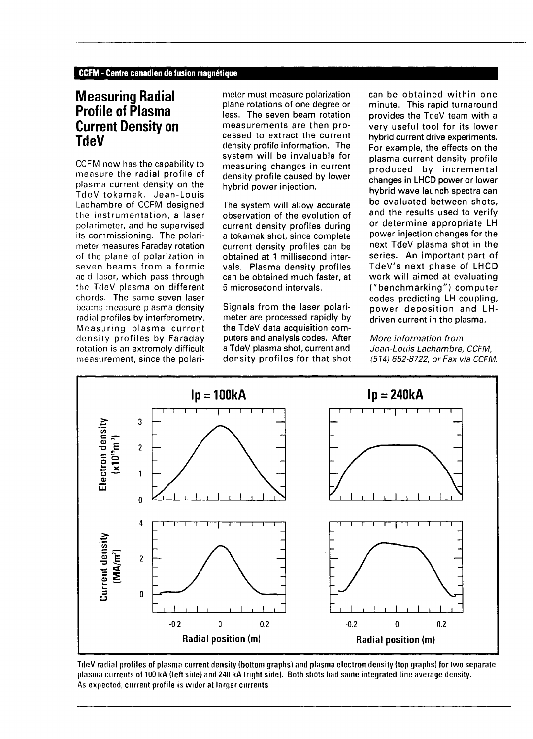### **Measuring Radial Profile of Plasma Current Density on TdeV**

CCFM now has the capability to measure the radial profile of plasma current density on the TdeV tokamak. Jean-Louis Lachambre of CCFM designed the instrumentation, a laser polarimeter, and he supervised its commissioning. The polarimeter measures Faraday rotation of the plane of polarization in seven beams from a formic acid laser, which pass through the TdeV plasma on different chords. The same seven laser beams measure plasma density radial profiles by interferometry. Measuring plasma current density profiles by Faraday rotation is an extremely difficult measurement, since the polarimeter must measure polarization plane rotations of one degree or less. The seven beam rotation measurements are then processed to extract the current density profile information. The system will be invaluable for measuring changes in current density profile caused by lower hybrid power injection.

The system will allow accurate observation of the evolution of current density profiles during a tokamak shot, since complete current density profiles can be obtained at 1 millisecond intervals. Plasma density profiles can be obtained much faster, at 5 microsecond intervals.

Signals from the laser polarimeter are processed rapidly by the TdeV data acquisition computers and analysis codes. After a TdeV plasma shot, current and density profiles for that shot can be obtained within one minute. This rapid turnaround provides the TdeV team with a very useful tool for its lower hybrid current drive experiments. For example, the effects on the plasma current density profile produced by incremental changes in LHCD power or lower hybrid wave launch spectra can be evaluated between shots, and the results used to verify or determine appropriate LH power injection changes for the next TdeV plasma shot in the series. An important part of TdeV's next phase of LHCD work will aimed at evaluating ("benchmarking") computer codes predicting LH coupling, power deposition and LHdriven current in the plasma.

More information from Jean-Louis Lachambre, CCFM, (514) 652-8722, or Fax via CCFM.



TdeV radial profiles of plasma current density (bottom graphs) and plasma electron density (top graphs) for two separate plasma currents of 100 kA (left side) and 240 kA (right side). Both shots had same integrated line average density. As expected, current profile is wider at larger currents.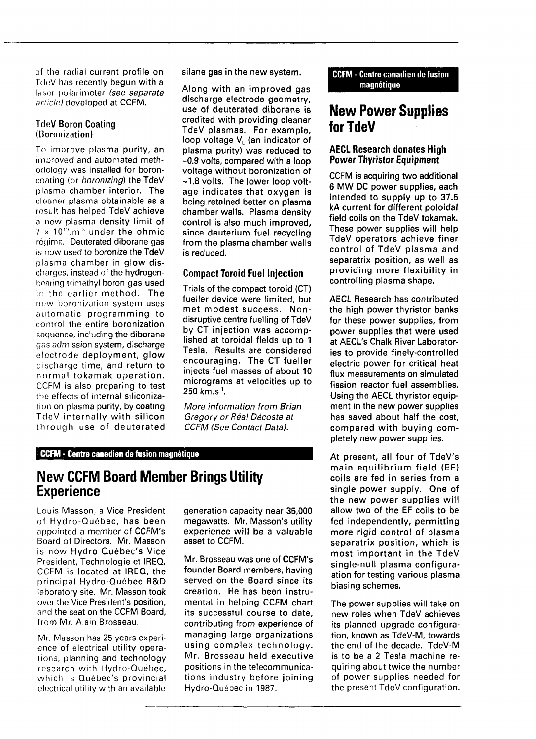of the radial current profile on TdeV has recently begun with a laser polarimeter (see separate article) developed at CCFM.

### **TdeV Boron Coating** (Boronization)

To improve plasma purity, an improved and automated methodology was installed for boroncoating (or boronizing) the TdeV plasma chamber interior. The cleaner plasma obtainable as a result has helped TdeV achieve a new plasma density limit of  $7\times10^{10}$ .m  $^3$  under the ohmic régime. Deuterated diborane gas is now used to boronize the TdeV plasma chamber in glow discharges, instead of the hydrogenbearing trimethyl boron gas used in the earlier method. The new boronization system uses automatic programming to control the entire boronization sequence, including the diborane gas admission system, discharge electrode deployment, glow discharge time, and return to normal tokamak operation. CCFM is also preparing to test the effects of internal siliconization on plasma purity, by coating TdeV internally with silicon through use of deuterated silane gas in the new system.

Along with an improved gas discharge electrode geometry, use of deuterated diborane is credited with providing cleaner TdeV plasmas. For example, loop voltage  $V<sub>L</sub>$  (an indicator of plasma purity) was reduced to -0.9 volts, compared with a loop voltage without boronization of ~1.8 volts. The lower loop voltage indicates that oxygen is being retained better on plasma chamber walls. Plasma density control is also much improved, since deuterium fuel recycling from the plasma chamber walls is reduced.

### **Compact Toroid Fuel Injection**

Trials of the compact toroid (CT) fueller device were limited, but met modest success. Nondisruptive centre fuelling of TdeV by CT injection was accomplished at toroidal fields up to 1 Tesla. Results are considered encouraging. The CT fueller injects fuel masses of about 10 micrograms at velocities up to 250 km.s '.

More information from Brian Gregory or Réal Décoste at CCFM (See Contact Data).

### **CCFM - Centre canadien de fusion magnétique**

### **New CCFM Board Member Brings Utility Experience**

Louis Masson, a Vice President of Hydro-Québec, has been appointed a member of CCFM's Board of Directors. Mr. Masson is now Hydro Quebec's Vice President, Technologie et IREQ. CCFM is located at IREQ, the principal Hydro-Québec R&D laboratory site. Mr. Masson took over the Vice President's position, and the seat on the CCFM Board, from Mr. Alain Brosseau.

Mr. Masson has 25 years experience of electrical utility operations, planning and technology research with Hydro-Québec, which is Québec's provincial electrical utility with an available

generation capacity near 35,000 megawatts. Mr. Masson's utility experience will be a valuable asset to CCFM.

Mr. Brosseau was one of CCFM's founder Board members, having served on the Board since its creation. He has been instrumental in helping CCFM chart its successful course to date, contributing from experience of managing large organizations using complex technology. Mr. Brosseau held executive positions in the telecommunications industry before joining Hydro-Québec in 1987.

CCFM - Centre canadien de fusion magnétique

### **New Power Supplies for TdeV**

### **AECL Research donates High Power Thyristor Equipment**

CCFM is acquiring two additional 6 MW DC power supplies, each intended to supply up to 37.5 kA current for different poloidal field coils on the TdeV tokamak. These power supplies will help TdeV operators achieve finer control of TdeV plasma and separatrix position, as well as providing more flexibility in controlling plasma shape.

AECL Research has contributed the high power thyristor banks for these power supplies, from power supplies that were used at AECL's Chalk River Laboratories to provide finely-controlled electric power for critical heat flux measurements on simulated fission reactor fuel assemblies. Using the AECL thyristor equipment in the new power supplies has saved about half the cost, compared with buying completely new power supplies.

At present, all four of TdeV's main equilibrium field (EF) coils are fed in series from a single power supply. One of the new power supplies will allow two of the EF coils to be fed independently, permitting more rigid control of plasma separatrix position, which is most important in the TdeV single-null plasma configuraation for testing various plasma biasing schemes.

The power supplies will take on new roles when TdeV achieves its planned upgrade configuration, known as TdeV-M, towards the end of the decade. TdeV-M is to be a 2 Tesla machine requiring about twice the number of power supplies needed for the present TdeV configuration.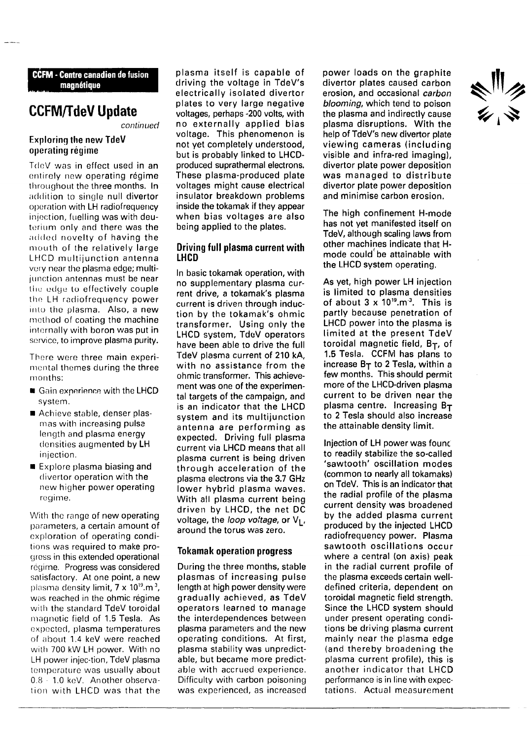#### **CCFM - Centre canadien de fusion magnétique**

### **CCFM/TdeV Update**

continued

### Exploring the new TdeV operating régime

TdeV was in effect used in an entirely new operating régime throughout the three months. In addition to single null divertor operation with LH radiofrequency injection, fuelling was with deuterium only and there was the added novelty of having the mouth of the relatively large LHCD multijunction antenna very near the plasma edge; multijunction antennas must be near the edge to effectively couple the LH rodiofrequency power into the plasma. Also, a new method of coating the machine internally with boron was put in service, to improve plasma purity.

There were three main experimental themes during the three months:

- Gain experience with the LHCD system.
- Achieve stable, denser plasmas with increasing pulsa length and plasma energy densities augmented by LH injection.
- $\blacksquare$  Explore plasma biasing and divertor operation with the new higher power operating regime.

With the range of new operating parameters, a certain amount of exploration of operating conditions was required to make progress in this extended operational régime. Progress was considered satisfactory. At one point, a new plasma density limit,  $7 \times 10^{19}$ .m $^3$ , was reached in the ohmic régime with the standard TdeV toroidal magnetic field of 1.5 Tesla. As expected, plasma temperatures of about 1.4 keV were reached with 700 kW LH power. With no LH power injec-tion, TdeV plasma temperature was usually about 0.8 - 1.0 keV. Another observation with LHCD was that the

plasma itself is capable of driving the voltage in TdeV's electrically isolated divertor plates to very large negative voltages, perhaps -200 volts, with no externally applied bias voltage. This phenomenon is not yet completely understood, but is probably linked to LHCDproduced suprathermal electrons. These plasma-produced plate voltages might cause electrical insulator breakdown problems inside the tokamak if they appear when bias voltages are also being applied to the plates.

#### **Driving full plasma current with LHCD**

In basic tokamak operation, with no supplementary plasma current drive, a tokamak's plasma current is driven through induction by the tokamak's ohmic transformer. Using only the LHCD system, TdeV operators have been able to drive the full TdeV plasma current of 210 kA, with no assistance from the ohmic transformer. This achievement was one of the experimental targets of the campaign, and is an indicator that the LHCD system and its multijunction antenna are performing as expected. Driving full plasma current via LHCD means that all plasma current is being driven through acceleration of the plasma electrons via the 3.7 GHz lower hybrid plasma waves. With all plasma current being driven by LHCD, the net DC voltage, the loop voltage, or  $V_1$ , around the torus was zero.

#### **Tokamak operation progress**

During the three months, stable plasmas of increasing pulse length at high power density were gradually achieved, as TdeV operators learned to manage the interdependences between plasma parameters and the new operating conditions. At first, plasma stability was unpredictable, but became more predictable with accrued experience. Difficulty with carbon poisoning was experienced, as increased

power loads on the graphite divertor plates caused carbon erosion, and occasional *carbon* blooming, which tend to poison the plasma and indirectly cause plasma disruptions. With the help of TdeV's new divertor plate viewing cameras (including visible and infra-red imaging), divertor plate power deposition was managed to distribute divertor plate power deposition and minimise carbon erosion.

The high confinement H-mode has not yet manifested itself on TdeV, although scaling laws from other machines indicate that Hmode could'be attainable with the LHCD system operating.

As yet, high power LH injection is limited to plasma densities of about  $3 \times 10^{19}$ .m<sup>3</sup>. This is partly because penetration of LHCD power into the plasma is limited at the present TdeV toroidal magnetic field,  $B_T$ , of 1.5 Tesla. CCFM has plans to increase  $B_T$  to 2 Tesla, within a few months. This should permit more of the LHCD-driven plasma current to be driven near the plasma centre. Increasing  $B_T$ to 2 Tesla should also increase the attainable density limit.

Injection of LH power was found to readily stabilize the so-called 'sawtooth' oscillation modes (common to nearly all tokamaks) on TdeV. This is an indicator that the radial profile of the plasma current density was broadened by the added plasma current produced by the injected LHCD radiofrequency power. Plasma sawtooth oscillations occur where a central (on axis) peak in the radial current profile of the plasma exceeds certain welldefined criteria, dependent on toroidal magnetic field strength. Since the LHCD system should under present operating conditions be driving plasma current mainly near the plasma edge (and thereby broadening the plasma current profile), this is another indicator that LHCD performance is in line with expectations. Actual measurement

ミックス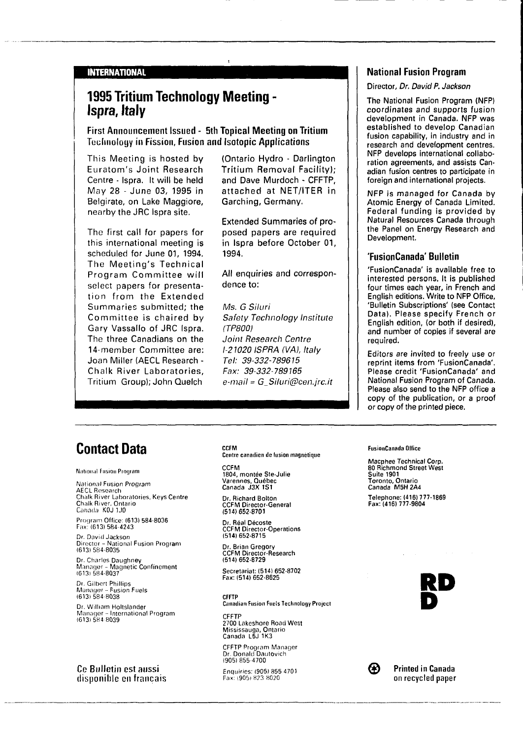#### **INTERNATIONAL**

### **1995 Tritium Technology Meeting - Ispra, Italy**

**First Announcement Issued - 5th Topical Meeting on Tritium** Tocliuoloyy **in** Fission, **Fusion and Isotopic Applications**

This Meeting is hosted by Euratom's Joint Research Centre - Ispra. It will be held May 28 - June 03, 1995 in Belgirate, on Lake Maggiore, nearby the JRC Ispra site.

The first call for papers for this international meeting is scheduled for June 01, 1994. The Meeting's Technical Program Committee will select papers for presentation from the Extended Summaries submitted; the Committee is chaired by Gary Vassallo of JRC Ispra. The three Canadians on the 14-member Committee are: Joan Miller (AECL Research - Chalk River Laboratories, Tritium Group); John Quelch

(Ontario Hydro - Darlington Tritium Removal Facility); and Dave Murdoch - CFFTP, attached at NET/ITER in Garching, Germany.

Extended Summaries of proposed papers are required in Ispra before October 01, 1994.

All enquiries and correspondence to:

Ms. G Siluri Safety Technology Institute (TP800) Joint Research Centre 1-21020 ISPRA (VA), Italy Tel: 39-332-789615 Fax: 39-332-789165 e-mail = G\_Siluri@cen.jrc.it

### **National Fusion Program**

#### Director, Dr. David P. Jackson

The National Fusion Program (NFP) coordinates and supports fusion development in Canada. NFP was established to develop Canadian fusion capability, in industry and in research and development centres. NFP develops international collaboration agreements, and assists Canadian fusion centres to participate in foreign and international projects.

NFP is managed for Canada by Atomic Energy of Canada Limited. Federal funding is provided by Natural Resources Canada through the Panel on Energy Research and Development.

#### **'FusionCanada' Bulletin**

'FusionCanada' is available free to interested persons. It is published four times each year, in French and English editions. Write to NFP Office, 'Bulletin Subscriptions' (see Contact Data). Please specify French or English edition, (or both if desired), and number of copies if several are required.

Editors are invited to freely use or reprint items from 'FusionCanada'. Please credit 'FusionCanada' and National Fusion Program of Canada. Please also send to the NFP office a copy of the publication, or a proof or copy of the printed piece.

### **Contact Data**

National Fusion Program

**L**

National Fusion Program AECL Research Chalk River Laboratories, Keys Centre<br>Chalk River, Ontario<br>C*anada: KOJ 1J0* 

Program Office: (613) 584-8036 Fax: (613) 584 **4243**

Dr. David Jackson Director - National Fusion Program (613) 584-8035

Dr. Charles Daughney Manager - Magnetic **Confinement** 16131584-8037

Dr. Gilbert Phillips<br>Manager – Fusion Fuels<br>(613) 584-8038

Dr. William Holtslancier Manager - International Program (613) 584 8039

Ce Bulletin est aussi **disponible** en français **CCFM Centre canadien de lusion magnétique**

**CCFM 1804, montée Ste-Julie Varennes, Québec Canada J3X 1S1**

**Dr. Richard Bolton CCFM Director-General (514)652-8701**

**Dr. Real Décoste CCFM Director-Operations (5141652-8715**

**Dr. Brian Gregory CCFM Director-Research (514)652-8729**

**Secretariat: (514) 652-8702 Fax:(514)652-8625**

**CFFTP Canadian Fusion Fuels Technology Project**

**CFFTP 2700** Lakeshore Road West Mississauga, Ontario Canada L5J **1K3**

CFFTP Program Manager Dr. Donald Dautovich (905) 855-4700

Enquiries: (905) 855 4701 Fax: (905) 823 8020



**Macphee Technical Corp. 80 Richmond Street West Suite 1901 Toronto, Ontario Canada M5H2A4 Telephone: (416) 777-1869 Fax: (416) 777-9804**



</del>

Printed in Canada on recycled paper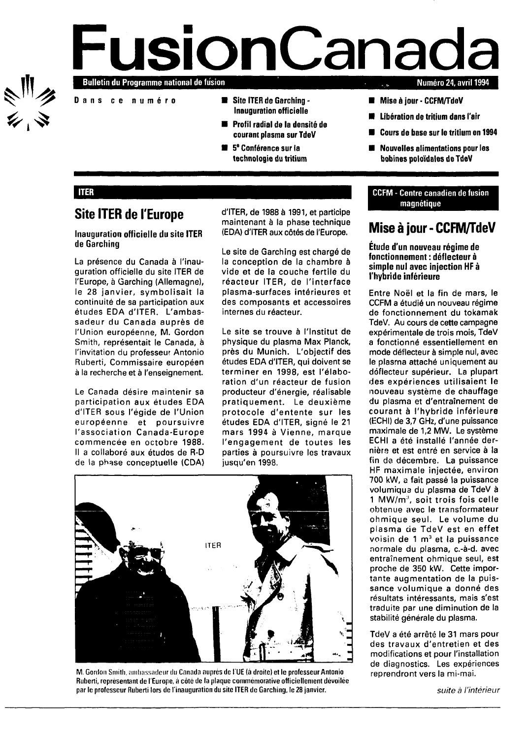

# **Fulletin du Programme national de fusion Numéro 24,** avril **1994**

- Dan s **c e numér o Site ITER de Garching -**
	- **Inauguration officielle**
	- **Profil radial de la densité de courant plasma surTdeV**
	- **5 e Conférence sur la technologie du tritium**

- **Mise à jour CCFM/TdeV**
- **Libération de tritium dans l'air**
- **Cours de base sur le tritium en 1994**
- **Nouvelles alimentations pour les bobines poloïdales de TdeV**

#### **ITER**

### **Site ITER de l'Europe**

#### **Inauguration officielle du site ITER de Garching**

La présence du Canada à l'inauguration officielle du site ITER de l'Europe, à Garching (Allemagne), le 28 janvier, symbolisait la continuité de sa participation aux études EDA d'ITER. L'ambassadeur du Canada auprès de l'Union européenne, M. Gordon Smith, représentait le Canada, à l'invitation du professeur Antonio Ruberti, Commissaire européen à la recherche et à l'enseignement.

Le Canada désire maintenir sa participation aux études EDA d'ITER sous l'égide de l'Union européenne et poursuivre l'association Canada-Europe commencée en octobre 1988. Il a collaboré aux études de R-D de la phase conceptuelle (CDA) d'ITER, de 1988 à 1991, et participe maintenant à la phase technique (EDA) d'ITER aux côtés de l'Europe.

Le site de Garching est chargé de la conception de la chambre à vide et de la couche fertile du réacteur ITER, de l'interface plasma-surfaces intérieures et des composants et accessoires internes du réacteur.

Le site se trouve à l'Institut de physique du plasma Max Planck, près du Munich. L'objectif des études EDA d'ITER, qui doivent se terminer en 1998, est l'élaboration d'un réacteur de fusion producteur d'énergie, réalisable pratiquement. Le deuxième protocole d'entente sur les études EDA d'ITER, signé le 21 mars 1994 à Vienne, marque l'engagement de toutes les parties à poursuivre les travaux jusqu'en 1998.



**M. Gordon Smith, ambassadeur du Canada auprès de l'UE (à droite) et le professeur Antonio Ruberti, représentant de l'Europe, à côté de la plaque commemorative officiellement dévoilée par le professeur Ruberti lors de l'inauguration du site ITER de Garching, le 28 janvier.**

### CCFM - Centre canadien de fusion magnétique

### **Mise à jour-CCFM/TdeV**

**Étude d'un nouveau régime de fonctionnement : déflecteur à simple nul avec injection HF à l'hybride inférieure**

Entre Noël et la fin de mars, le CCFM a étudié un nouveau régime de fonctionnement du tokamak TdeV. Au cours de cette campagne expérimentale de trois mois, TdeV a fonctionné essentiellement en mode déflecteur à simple nul, avec le plasma attaché uniquement au déflecteur supérieur. La plupart des expériences utilisaient le nouveau système de chauffage du plasma et d'entraînement de courant à l'hybride inférieure (ECHI) de 3,7 GHz, d'une puissance maximale de 1,2 MW. Le système ECHI a été installé l'année dernière et est entré en service à la fin de décembre. La puissance HF maximale injectée, environ 700 kW, a fait passé la puissance volumiqua du plasma de TdeV à  $1$  MW/ $m<sup>3</sup>$ , soit trois fois celle obtenue avec le transformateur ohmique seul. Le volume du plasma de TdeV est en effet plasma de Tdev est en effet<br>voisin de 1 m<sup>3</sup> et la puissance normale du plasma, c.-à-d. avec entraînement ohmique seul, est proche de 350 kW. Cette imporproche de 350 kW. Cette importante augmentation de la puissance volumique a donné des résultats intéressants, mais s'est traduite par une diminution de la<br>stabilité générale du plasma.

TdeV a été arrêté le 31 mars pour des travaux d'entretien et des modifications et pour l'installation de diagnostics. Les expériences reprendront vers la mi-mai.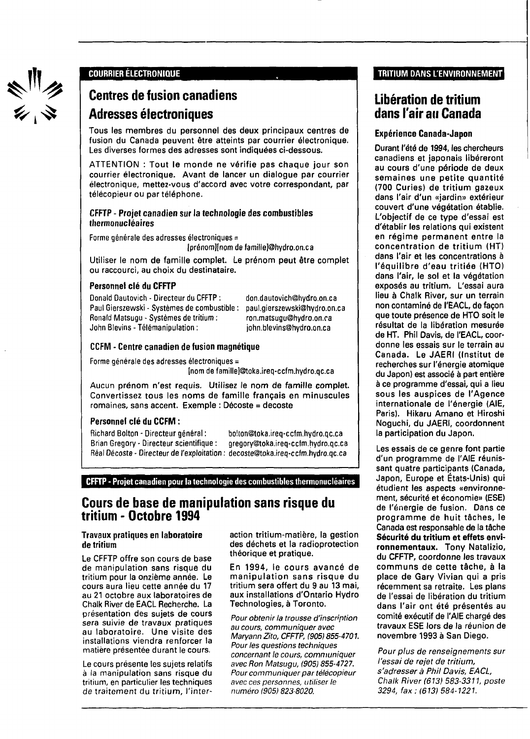ミリク<br>シッシ

### **COURRIER ELECTRONIQUE**

### **Centres de fusion canadiens Adresses électroniques**

Tous les membres du personnel des deux principaux centres de fusion du Canada peuvent être atteints par courrier électronique. Les diverses formes des adresses sont indiquées ci-dessous.

ATTENTION : Tout le monde ne vérifie pas chaque jour son courrier électronique. Avant de lancer un dialogue par courrier électronique, mettez-vous d'accord avec votre correspondant, par télécopieur ou par téléphone.

### CFFTP - Projet canadien sur la technologie des combustibles thermonucléaires

Forme générale des adresses électroniques =

(prénom][nom de famille]@hydro.on.ca

Utiliser le nom de famille complet. Le prénom peut être complet ou raccourci, au choix du destinataire.

### **Personnel clé du CFFTP**

Donald Dautovich - Directeur du CFFTP : Paul Gierszewski - Systèmes de combustible : Ronald Matsugu - Systèmes de tritium : John Blevins - Télémanipulation :

don.dautovich@hydro.on.ca paul.gierszewski@hydro.on.ca ron.matsugu@hydro.on.ca john.blevins@hydro.on.ca

### **CCFM - Centre canadien de fusion magnétique**

Forme générale des adresses électroniques =

[nom de famille]@toka.ireq-ccfm.hydro.qc.ca

Aucun prénom n'est requis. Utilisez le nom de famille complet. Convertissez tous les noms de famille français en minuscules romaines, sans accent. Exemple : Décoste = decoste

### Personnel clé du CCFM :

Richard Bolton - Directeur général : bo!ton@toka.ireq-ccfm.hydro.qc.ca Brian Gregory - Directeur scientifique : gregory@toka.ireq-ccfm.hydro.qc.ca Real Décoste - Directeur de l'exploitation : decoste@toka.ireq-ccfm.hydro.qc.ca

CFFTP - Projet canadien pour la technologie des combustibles thermonucléaires

### **Cours de base de manipulation sans risque du tritium - Octobre 1994**

#### Travaux pratiques en laboratoire de tritium

Le CFFTP offre son cours de base de manipulation sans risque du tritium pour la onzième année. Le cours aura lieu cette année du 17 au 21 octobre aux laboratoires de Chalk River de EACL Recherche. La présentation des sujets de cours sera suivie de travaux pratiques au laboratoire. Une visite des installations viendra renforcer la matière présentée durant le cours.

Le cours présente les sujets relatifs à la manipulation sans risque du tritium, en particulier les techniques de traitement du tritium, l'interaction tritium-matière, la gestion des déchets et la radioprotection théorique et pratique.

En 1994, le cours avancé de manipulation sans risque du tritium sera offert du 9 au 13 mai, aux installations d'Ontario Hydro Technologies, à Toronto.

Pour obtenir la trousse d'inscription au cours, communiquer avec Maryann Zito, CFFTP, (905)855-4701. Pour les questions techniques concernant le cours, communiquer avec Ron Matsugu, (905) 855-4727. Pour communiquer par télécopieur avec ces personnes, utiliser le numéro (905) 823-8020.

### TRITIUM DANS L'ENVIRONNEMENT

### **Libération de tritium dans l'air au Canada**

### Expérience Canada-Japon

Durant l'été de 1994, les chercheurs canadiens et japonais libéreront au cours d'une période de deux semaines une petite quantité (700 Curies) de tritium gazeux dans l'air d'un «jardin» extérieur couvert d'une végétation établie. L'objectif de ce type d'essai est d'établir les relations qui existent en régime permanent entre la concentration de tritium (HT) dans l'air et les concentrations à l'équilibre d'eau tritiée (HTO) dans l'air, le sol et la végétation exposés au tritium. L'essai aura lieu à Chalk River, sur un terrain non contaminé de l'EACL, de façon que toute présence de HTO soit le résultat de la libération mesurée de HT. Phil Davis, de l'EACL, coordonne les essais sur le terrain au Canada. Le JAERI (Institut de recherches sur l'énergie atomique du Japon) est associé à part entière à ce programme d'essai, qui a lieu sous les auspices de l'Agence internationale de l'énergie (AIE, Paris). Hikaru Amano et Hiroshi Noguchi, du JAERI, coordonnent la participation du Japon.

Les essais de ce genre font partie d'un programme de l'AIE réunissant quatre participants (Canada, Japon, Europe et États-Unis) qui étudient les aspects «environnement, sécurité et économie» (ESE) de l'énergie de fusion. Dans ce programme de huit tâches, le Canada est responsable de la tâche Sécurité du tritium et effets environnementaux. Tony Natalizio, du CFFTP, coordonne les travaux communs de cette tâche, à la place de Gary Vivian qui a pris récemment sa retraite. Les plans de l'essai de libération du tritium dans l'air ont été présentés au comité exécutif de l'AIE chargé des travaux ESE lors de la réunion de novembre 1993 à San Diego.

Pour plus de renseignements sur l'essai de rejet de tritium, s'adresser à Phil Davis, EACL, Chalk River (613) 583-3311, poste 3294, fax:(613)584-1221.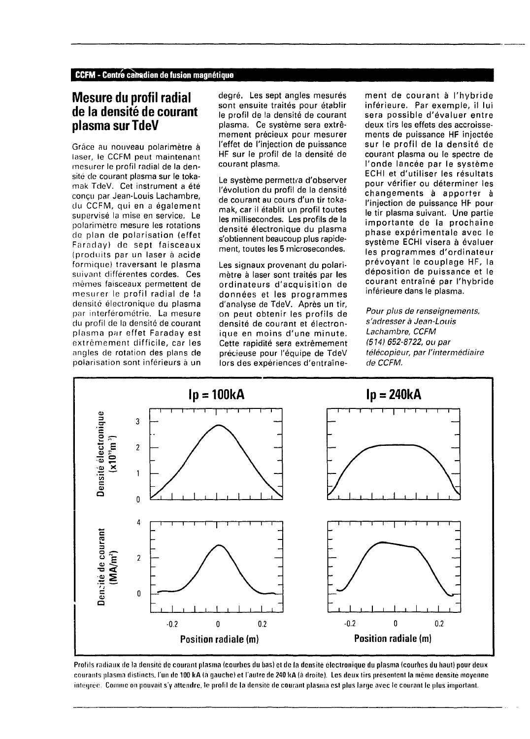### **Mesure du profil radial de la densité de courant plasma sur TdeV**

Grâce au nouveau polarimètre à laser, le CCFM peut maintenant mesurer le profil radial de la densité de courant plasma sur le tokamak TdeV. Cet instrument a été conçu par Jean-Louis Lachambre, du CCFM, qui en a également supervisé la mise en service. Le polarimètre mesure les rotations de plan de polarisation (effet Faraday) de sept faisceaux (produits par un laser à acide formique) traversant le plasma suivant différentes cordes. Ces mêmes faisceaux permettent de mesurer le profil radial de la densité électronique du plasma par interférométrie. La mesure du profil de la densité de courant plasma par effet Faraday est extrêmement difficile, car les angles de rotation des plans de polarisation sont inférieurs à un degré. Les sept angles mesurés sont ensuite traités pour établir le profil de la densité de courant plasma. Ce système sera extrêmement précieux pour mesurer l'effet de l'injection de puissance HF sur le profil de la densité de courant plasma.

Le système permettra d'observer l'évolution du profil de la densité de courant au cours d'un tir tokamak, car il établit un profil toutes les millisecondes. Les profils de la densité électronique du plasma s'obtiennent beaucoup plus rapidement, toutes les 5 microsecondes.

Les signaux provenant du polarimètre à laser sont traités par les ordinateurs d'acquisition de données et les programmes d'analyse de TdeV. Après un tir, on peut obtenir les profils de densité de courant et électronique en moins d'une minute. Cette rapidité sera extrêmement précieuse pour l'équipe de TdeV lors des expériences d'entraîne-

ment de courant à l'hybride inférieure. Par exemple, il lui sera possible d'évaluer entre deux tirs les effets des accroissements de puissance HF injectée sur le profil de la densité de courant plasma ou le spectre de l'onde lancée par le système ECHI et d'utiliser les résultats pour vérifier ou déterminer les changements à apporter à l'injection de puissance HF pour le tir plasma suivant. Une partie importante de la prochaine phase expérimentale avec le système ECHI visera à évaluer les programmes d'ordinateur prévoyant le couplage HF, la déposition de puissance et le courant entraîné par l'hybride inférieure dans le plasma.

Pour plus de renseignements, s'adresser à Jean-Louis Lachambre, CCFM (514) 652-8722, ou par télécopieur, par l'intermédiaire de CCFM.



Profils radiaux de la densité de courant plasma (courbes du bas) et de la densité électronique du plasma (courhes du haut) pour deux **cournnts plnsmn distincts, l'un de 100 kA (a gauche) et l'autre de 240 kA (à droite). Les deux tirs présentent la même densité moyenne M: Comme on pouvait s'y attendre, le profil de la densité de courant plasma est plus large avec le courant le plus important.**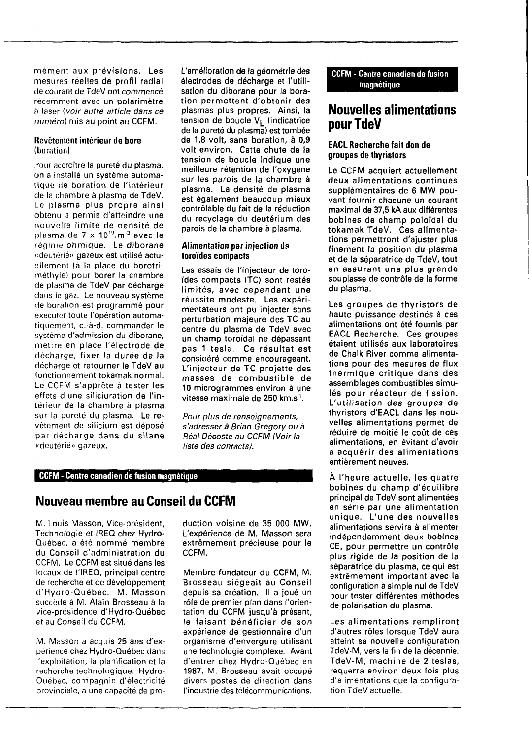mément aux prévisions. Les mesures réelles de profil radial de courant de TdeV ont commencé récemment avec un polarimètre à laser ( voir autre article dans ce numéro) mis au point au CCFM.

#### Revêtement intérieur de bore (boration)

, J our accroître la pureté du plasma, on a installé un système automatique de boration de l'intérieur de la chambre à plasma de TdeV. Le plasma plus propre ainsi obtenu a permis d'atteindre une nouvelle limite de densité de plasma de 7 x 10<sup>19</sup>.m<sup>3</sup> avec le régime ohmique. Le diborane «deutérié» gazeux est utilisé actuellement (à la place du borotriméthyle) pour borer la chambre de plasma de TdeV par décharge clans le gaz. Le nouveau système de boration est programmé pour exécuter toute l'opération automatiquement, c.-à-d. commander le système d'admission du diborane, mettre en place l'électrode de décharge, fixer la durée de la décharge et retourner le TdeV au fonctionnement tokamak normal. Le CCFM s'apprête à tester les effets d'une siliciuration de l'intérieur de la chambre à plasma sur la pureté du plasma. Le revêtement de silicium est déposé par décharge dans du silane «deutérié» gazeux.

L'amélioration de la géométrie des électrodes de décharge et l'utilisation du diborane pour la boration permettent d'obtenir des plasmas plus propres. Ainsi, la tension de boucle  $V_L$  (indicatrice de la pureté du plasma) est tombée de 1,8 volt, sans boration, à 0,9 volt environ. Cette chute de la tension de boucle indique une meilleure rétention de l'oxygène sur les parois de la chambre à plasma. La densité de plasma est également beaucoup mieux contrôlable du fait de la réduction du recyclage du deuterium des parois de la chambre à plasma.

### **Alimentation par injection** de **toroïdes compacts**

Les essais de l'injecteur de toroïdes compacts (TC) sont restés limités, avec cependant une réussite modeste, Les expérimentateurs ont pu injecter sans perturbation majeure des TC au centre du plasma de TdeV avec un champ toroïdal ne dépassant pas 1 tesla. Ce résultat est considéré comme encourageant. L'injecteur de TC projette des masses de combustible de 10 microgrammes environ à une vitesse maximale de 250 km.s<sup>1</sup>.

Pour plus de renseignements, s'adresser à Brian Gregory ou à Real Décoste au CCFM (Voir la liste des contacts).

### **CCFM - Centre canadien de fusion magnétique**

### **Nouveau membre au Conseil du CCFM**

M. Louis Masson, Vice-président, Technologie et IREQ chez Hydro-Québec, a été nommé membre du Conseil d'administration du CCFM. Le CCFM est situé dans les locaux de l'IREQ, principal centre de recherche et de développement d'Hydro-Québec. M. Masson succède à M. Alain Brosseau à la vice-présidence d'Hydro-Québec et au Conseil du CCFM.

M. Masson a acquis 25 ans d'expérience chez Hydro-Québec dans l'exploitation, la planification et la recherche technologique. Hydro-Québec, compagnie d'électricité provinciale, a une capacité de production voisine de 35 000 MW. L'expérience de M. Masson sera extrêmement précieuse pour le CCFM.

Membre fondateur du CCFM, M. Brosseau siégeait au Conseil depuis sa création. Il a joué un rôle de premier plan dans l'orientation du CCFM jusqu'à présent, le faisant bénéficier de son expérience de gestionnaire d'un organisme d'envergure utilisant une technologie complexe. Avant d'entrer chez Hydro-Québec en 1987, M. Brosseau avait occupé divers postes de direction dans l'industrie des télécommunications.

**CCFM** - Centre canadien de fusion magnétique

### **Nouvelles alimentations pour TdeV**

### **EACL Recherche fait don de groupes de thyristors**

Le CCFM acquiert actuellement deux alimentations continues supplémentaires de 6 MW pouvant fournir chacune un courant maximal de 37,5 kA aux différentes bobines de champ poloïdal du tokamak TdeV. Ces alimentations permettront d'ajuster plus finement la position du plasma et de la séparatrice de TdeV, tout en assurant une plus grande souplesse de contrôle de la forme du plasma.

Les groupes de thyristors de haute puissance destinés à ces alimentations ont été fournis par EACL Recherche. Ces groupes étaient utilisés aux laboratoires de Chalk River comme alimentations pour des mesures de flux thermique critique dans des assemblages combustibles simulés pour réacteur de fission. L'utilisation des groupes de thyristors d'EACL dans les nouvelles alimentations permet de réduire de moitié le coût de ces alimentations, en évitant d'avoir à acquérir des alimentations entièrement neuves.

À l'heure actuelle, les quatre bobines du champ d'équilibre principal de TdeV sont alimentées en série par une alimentation unique. L'une des nouvelles alimentations servira à alimenter indépendamment deux bobines CE, pour permettre un contrôle plus rigide de la position de la séparatrice du plasma, ce qui est extrêmement important avec la configuration à simple nul de TdeV pour tester différentes méthodes de polarisation du plasma.

Les alimentations rempliront d'autres rôles lorsque TdeV aura atteint sa nouvelle configuration TdeV-M, vers la fin de la décennie. TdeV-M, machine de 2 teslas, requerra environ deux fois plus d'alimentations que la configuration TdeV actuelle.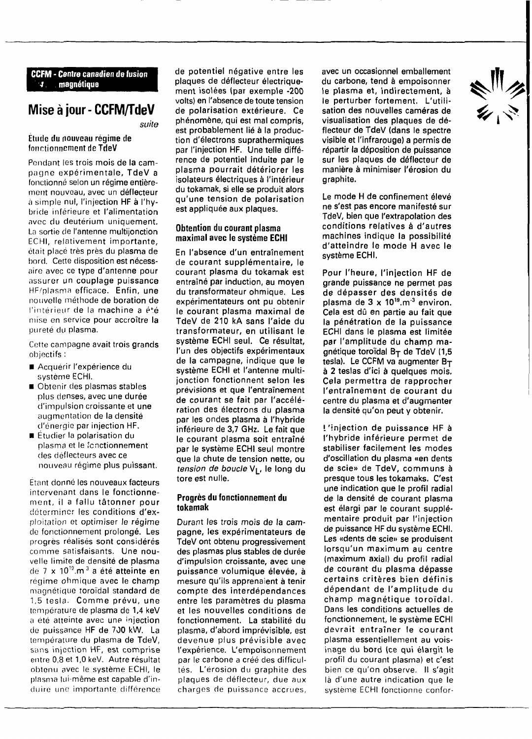#### **CCFM - Centre canadien de fusion •t magnétique**

### **Miseàjour-CCFM/TdeV**

**suite**

#### **Étude du nouveau régime de fonctionnement de TdeV**

Pondant les trois mois de la campagne expérimentale, **TdeV a** fonctionné selon un **régime** entièrement nouveau, avec un **déflecteur** à simple nul, l'injection **HF** à l'hybride inférieure et **l'alimentation** avec du deutérium uniquement. La sortie de l'antenne multijonction ECHI, relativement importante, était placé très près du **plasma de** bord. Cette disposition est nécessaire avec ce **type d'antenne pour** assurer un **couplage puissance** HF/plasma efficace. **Enfin, une** nouvelle méthode de boration **de** l'intérieur de la machine a é\*é mise en service pour accroître la pureté du plasma.

Cette campagne **avait trois grands** objectifs :

- Acquérir l'expérience du système ECHI.
- Obtenir des plasmas stables plus denses, avec **une durée** d'impulsion croissante **et une** augmentation de la **densité** d'énergie par injection **HF.**
- Étudier la polarisation du plasma et le fonctionnement des déflecteurs avec ce nouveau régime plus puissant.

Étant donné **les nouveaux facteurs** intervenant dans le fonctionnement, il a fallu **tâtonner pour** determiner les conditions d'exploitation et optimiser le régime de fonctionnement prolongé. **Les** progrès réalisés sont **considérés** comme satisfaisants. Une nouvelle limite de densité **de plasma** de **7 x iO<sup>19</sup>.m<sup>3</sup> a été atteinte en** régime ohmique **avec le champ** magnétique toroidal standard **de** 1,5 tesla. Comme prévu, une température de plasma de 1,4 **keV** a été atteinte avec une injection de puissance HF de 700 kW. La température du plasma de TdeV, sans injection HF, est comprise entre 0,8 et 1,0 keV. Autre résultat obtenu avec le système ECHI, le plasma lui-même est capable d'induire une importante différence

**de potentiel négative entre les plaques de déflecteur électriquement isolées (par exemple -200 volts) en l'absence de toute tension de polarisation extérieure. Ce phénomène, qui est mal compris, est probablement lié à la production d'électrons suprathermiques par l'injection HF. Une telle différence de potentiel induite par le plasma pourrait détériorer les isolateurs électriques à l'intérieur du tokamak, si elle se produit alors qu'une tension de polarisation est appliquée aux plaques.**

#### **Obtention du courant plasma maximal avec le système ECHI**

**En l'absence d'un entraînement de courant supplémentaire, le courant plasma du tokamak est entraîné par induction, au moyen du transformateur ohmique. Les expérimentateurs ont pu obtenir le courant plasma maximal de TdeV de 210 kA sans l'aide du transformateur, en utilisant le système ECHI seul. Ce résultat, l'un des objectifs expérimentaux de la campagne, indique que le système ECHI et l'antenne multijonction fonctionnent selon les prévisions et que l'entraînement de courant se fait par l'accélération des électrons du plasma par les ondes plasma à l'hybride inférieure de 3,7 GHz. Le fait que le courant plasma soit entraîné par le système ECHI seul montre que la chute de tension nette, ou tension de boucle V[\_, le long du tore est nulle.**

#### **Progrès du fonctionnement du tokamak**

**Durant les trois mois de la campagne, les expérimentateurs de TdeV ont obtenu progressivement des plasmas plus stables de durée d'impulsion croissante, avec une puissance volumique élevée, à mesure qu'ils apprenaient à tenir compte des interdépendances entre les paramètres du plasma et les nouvelles conditions de fonctionnement. La stabilité du plasma, d'abord imprévisible, est devenue plus prévisible avec** l'expérience. **L'empoisonnement** par le carbone a créé des difficultés. L'érosion du graphite des plaques de déflecteur, due aux charges de puissance accrues, **avec un occasionnel emballement du carbone, tend à empoisonner le plasma et, indirectement, à le perturber fortement. L'utilisation des nouvelles caméras de visualisation des plaques de déflecteur de TdeV (dans le spectre visible et l'infrarouge) a permis de répartir la déposition de puissance sur les plaques de déflecteur de manière à minimiser l'érosion du graphite.**

**Le mode H de confinement élevé ne s'est pas encore manifesté sur TdeV, bien que l'extrapolation des conditions relatives à d'autres machines indique la possibilité d'atteindre le mode H avec le système ECHI.**

**Pour l'heure, l'injection HF de grande puissance ne permet pas de dépasser des densités de plasma de 3 x 1O<sup>19</sup>.m'<sup>3</sup> environ. Cela est dû en partie au fait que la pénétration de la puissance ECHI dans le plasma est limitée par l'amplitude du champ magnétique toroidal By de TdeV (1,5 tesla). Le CCFM va augmenter Bj à 2 testas d'ici à quelques mois. Cela permettra de rapprocher l'entraînement de courant du centre du plasma et d'augmenter la densité qu'on peut y obtenir.**

**l'injection de puissance HF à l'hybride inférieure permet de stabiliser facilement les modes d'oscillation du plasma «en dents de scie» de TdeV, communs à presque tous les tokamaks. C'est une indication que le profil radial de la densité de courant plasma est élargi par le courant supplémentaire produit par l'injection de puissance HF du système ECHI. Les «dents de scie» se produisent lorsqu'un maximum au centre (maximum axial) du profil radial de courant du plasma dépasse certains critères bien définis dépendant de l'amplitude du champ magnétique toroidal. Dans les conditions actuelles de fonctionnement, le système ECHI devrait entraîner le courant plasma essentiellement au voisinage du bord (ce qui élargit le** profil du courant plasma) **et** c'est bien ce qu'on observe. Il s'agit là d'une autre indication **que** le système ECHI fonctionne confor-